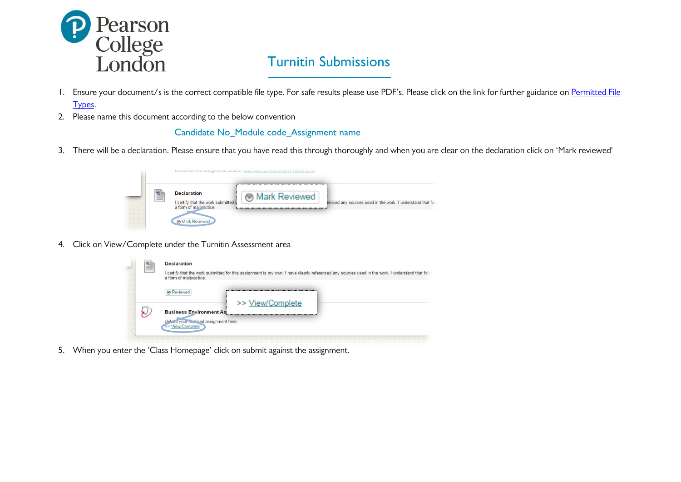

## **Turnitin Submissions**

- 1. Ensure your document/s is the correct compatible file type. For safe results please use PDF's. Please click on the link for further guidance on [Permitted File](https://sites.google.com/a/pearsoncollege.com/student-services/home/assessment/eassessments/permitted-file-types) [Types.](https://sites.google.com/a/pearsoncollege.com/student-services/home/assessment/eassessments/permitted-file-types)
- 2. Please name this document according to the below convention

## Candidate No\_Module code\_Assignment name

3. There will be a declaration. Please ensure that you have read this through thoroughly and when you are clear on the declaration click on 'Mark reviewed'



4. Click on View/Complete under the Turnitin Assessment area



5. When you enter the 'Class Homepage' click on submit against the assignment.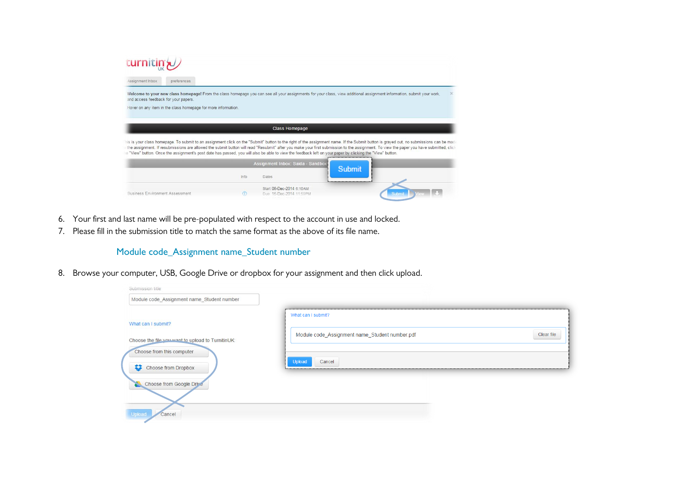| Assignment Inbox<br>preferences                                                                                                                           |      |                                   |                                                                                                                                                                                                                                                                                                                                                                                   |          |
|-----------------------------------------------------------------------------------------------------------------------------------------------------------|------|-----------------------------------|-----------------------------------------------------------------------------------------------------------------------------------------------------------------------------------------------------------------------------------------------------------------------------------------------------------------------------------------------------------------------------------|----------|
|                                                                                                                                                           |      |                                   | Welcome to your new class homepage! From the class homepage you can see all your assignments for your class, view additional assignment information, submit your work,                                                                                                                                                                                                            | $\times$ |
| and access feedback for your papers.<br>Hover on any item in the class homepage for more information.                                                     |      |                                   |                                                                                                                                                                                                                                                                                                                                                                                   |          |
|                                                                                                                                                           |      |                                   |                                                                                                                                                                                                                                                                                                                                                                                   |          |
|                                                                                                                                                           |      |                                   |                                                                                                                                                                                                                                                                                                                                                                                   |          |
|                                                                                                                                                           |      | <b>Class Homepage</b>             |                                                                                                                                                                                                                                                                                                                                                                                   |          |
|                                                                                                                                                           |      | Assignment Inbox: Saida - Sandbox | his is your class homepage. To submit to an assignment click on the "Submit" button to the right of the assignment name. If the Submit button is grayed out, no submissions can be mad<br>the assignment. If resubmissions are allowed the submit button will read "Resubmit" after you make your first submission to the assignment. To view the paper you have submitted, clicl |          |
| e "View" button. Once the assignment's post date has passed, you will also be able to view the feedback left on your paper by clicking the "View" button. | Info | Dates                             | <b>Submit</b><br>                                                                                                                                                                                                                                                                                                                                                                 |          |

- 6. Your first and last name will be pre-populated with respect to the account in use and locked.
- 7. Please fill in the submission title to match the same format as the above of its file name.

## Module code\_Assignment name\_Student number

8. Browse your computer, USB, Google Drive or dropbox for your assignment and then click upload.

| Submission title                                                        |                                                |            |
|-------------------------------------------------------------------------|------------------------------------------------|------------|
| Module code_Assignment name_Student number                              |                                                |            |
|                                                                         | What can I submit?                             |            |
| What can I submit?<br>Choose the file you want to upload to TurnitinUK: | Module code_Assignment name_Student number.pdf | Clear file |
| Choose from this computer                                               | Upload<br>Cancel                               |            |
| 83<br>Choose from Dropbox<br>Choose from Google Drive                   |                                                |            |
|                                                                         |                                                |            |
| Upload<br>Cancel                                                        |                                                |            |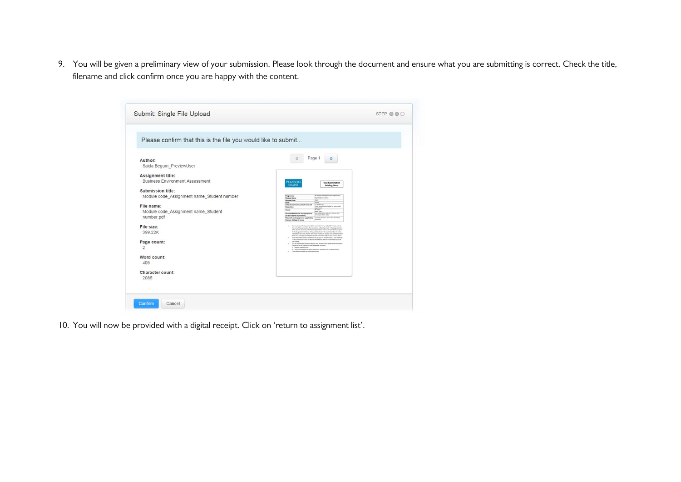9. You will be given a preliminary view of your submission. Please look through the document and ensure what you are submitting is correct. Check the title, filename and click confirm once you are happy with the content.

| Please confirm that this is the file you would like to submit |                                                                                                                                                                                                                                                                                                                                                                                                                                                                     |  |
|---------------------------------------------------------------|---------------------------------------------------------------------------------------------------------------------------------------------------------------------------------------------------------------------------------------------------------------------------------------------------------------------------------------------------------------------------------------------------------------------------------------------------------------------|--|
| Author:                                                       | Page 1<br>$\ll$<br>$\rightarrow$                                                                                                                                                                                                                                                                                                                                                                                                                                    |  |
| Saida Begum PreviewUser                                       |                                                                                                                                                                                                                                                                                                                                                                                                                                                                     |  |
| <b>Assignment title:</b>                                      |                                                                                                                                                                                                                                                                                                                                                                                                                                                                     |  |
| <b>Business Environment Assessment</b>                        | <b>PEARSON</b><br><b>Viva Examination</b>                                                                                                                                                                                                                                                                                                                                                                                                                           |  |
|                                                               | COLLEGE<br><b>Briefing Sheet</b>                                                                                                                                                                                                                                                                                                                                                                                                                                    |  |
| Submission title:                                             | <b>At Business Management (All co</b>                                                                                                                                                                                                                                                                                                                                                                                                                               |  |
| Module code_Assignment name_Student number                    | Programme<br>Are Dropt for Business<br><b>Module Name</b><br><b>BALL</b><br><b>Module Code</b>                                                                                                                                                                                                                                                                                                                                                                      |  |
| File name:                                                    | tevel<br><b>Level 8</b><br><sup>ph</sup> amony 2015<br>Please see allushed a hedule for your group's<br>Data of examination, Start time and<br><b>Finish time</b>                                                                                                                                                                                                                                                                                                   |  |
| Module code_Assignment name_Student                           | <b>CONTRACTOR</b><br><b>Carroll</b><br>Venue<br><b>Book End 4</b><br>las presental<br>Adobe an a markets start                                                                                                                                                                                                                                                                                                                                                      |  |
| number.pdf                                                    | <b>Permitted Materials and equipment</b><br>Next coppe of the shiko.<br>(he be supplied by student)<br>property Projecting and property for<br>Materials and equipment supplied by<br>equipment<br><b>Pearson College at venue</b>                                                                                                                                                                                                                                  |  |
| File size:                                                    | This that ensure that you arrive at the sustituation arrive at least 13 minutes prior is<br>the start of the suprimation. The expressions will start promptly at the designated start                                                                                                                                                                                                                                                                               |  |
| 399.22K                                                       | time. Anyone who arrives after their designated start time but at least 12 minutes prior<br>to the Angeles and Brick time, will be assembled to take the expression but sell not be<br>allowed are early time. Among who arruns lets than 30 minutes pronts the designated<br>front time will not be permitted to take the examination and will be marked as about<br>If the examination versus is not familiar to you, you are advised to your it prior to the day |  |
| Page count:                                                   | of the assessments as that you became more function with the munk and the layout of<br>the building<br>It is the negotiating of each student to time the home hotel between the the evening                                                                                                                                                                                                                                                                         |  |
| $\overline{2}$                                                | Spens will not be supplied or made available at the versus:<br>a. Performance Grant<br>9. Any Permitted Materials and/or equipment which you wish to use (see about)<br>There will be a click at the communities sense.                                                                                                                                                                                                                                             |  |
| Word count:                                                   |                                                                                                                                                                                                                                                                                                                                                                                                                                                                     |  |
| 405                                                           |                                                                                                                                                                                                                                                                                                                                                                                                                                                                     |  |
| Character count:                                              |                                                                                                                                                                                                                                                                                                                                                                                                                                                                     |  |
| 2085                                                          |                                                                                                                                                                                                                                                                                                                                                                                                                                                                     |  |
|                                                               |                                                                                                                                                                                                                                                                                                                                                                                                                                                                     |  |

10. You will now be provided with a digital receipt. Click on 'return to assignment list'.